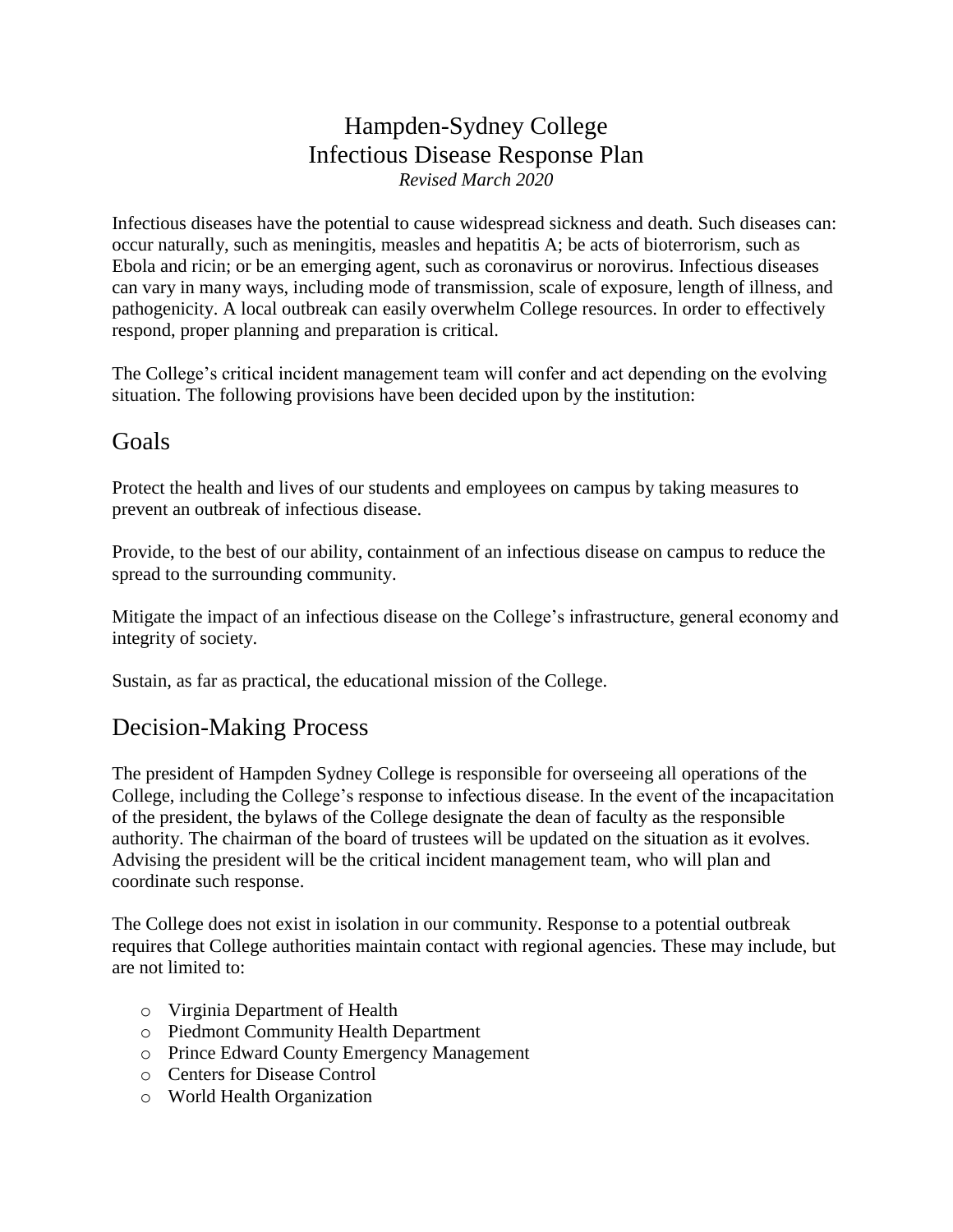## Hampden-Sydney College Infectious Disease Response Plan *Revised March 2020*

Infectious diseases have the potential to cause widespread sickness and death. Such diseases can: occur naturally, such as meningitis, measles and hepatitis A; be acts of bioterrorism, such as Ebola and ricin; or be an emerging agent, such as coronavirus or norovirus. Infectious diseases can vary in many ways, including mode of transmission, scale of exposure, length of illness, and pathogenicity. A local outbreak can easily overwhelm College resources. In order to effectively respond, proper planning and preparation is critical.

The College's critical incident management team will confer and act depending on the evolving situation. The following provisions have been decided upon by the institution:

#### Goals

Protect the health and lives of our students and employees on campus by taking measures to prevent an outbreak of infectious disease.

Provide, to the best of our ability, containment of an infectious disease on campus to reduce the spread to the surrounding community.

Mitigate the impact of an infectious disease on the College's infrastructure, general economy and integrity of society.

Sustain, as far as practical, the educational mission of the College.

### Decision-Making Process

The president of Hampden Sydney College is responsible for overseeing all operations of the College, including the College's response to infectious disease. In the event of the incapacitation of the president, the bylaws of the College designate the dean of faculty as the responsible authority. The chairman of the board of trustees will be updated on the situation as it evolves. Advising the president will be the critical incident management team, who will plan and coordinate such response.

The College does not exist in isolation in our community. Response to a potential outbreak requires that College authorities maintain contact with regional agencies. These may include, but are not limited to:

- o Virginia Department of Health
- o Piedmont Community Health Department
- o Prince Edward County Emergency Management
- o Centers for Disease Control
- o World Health Organization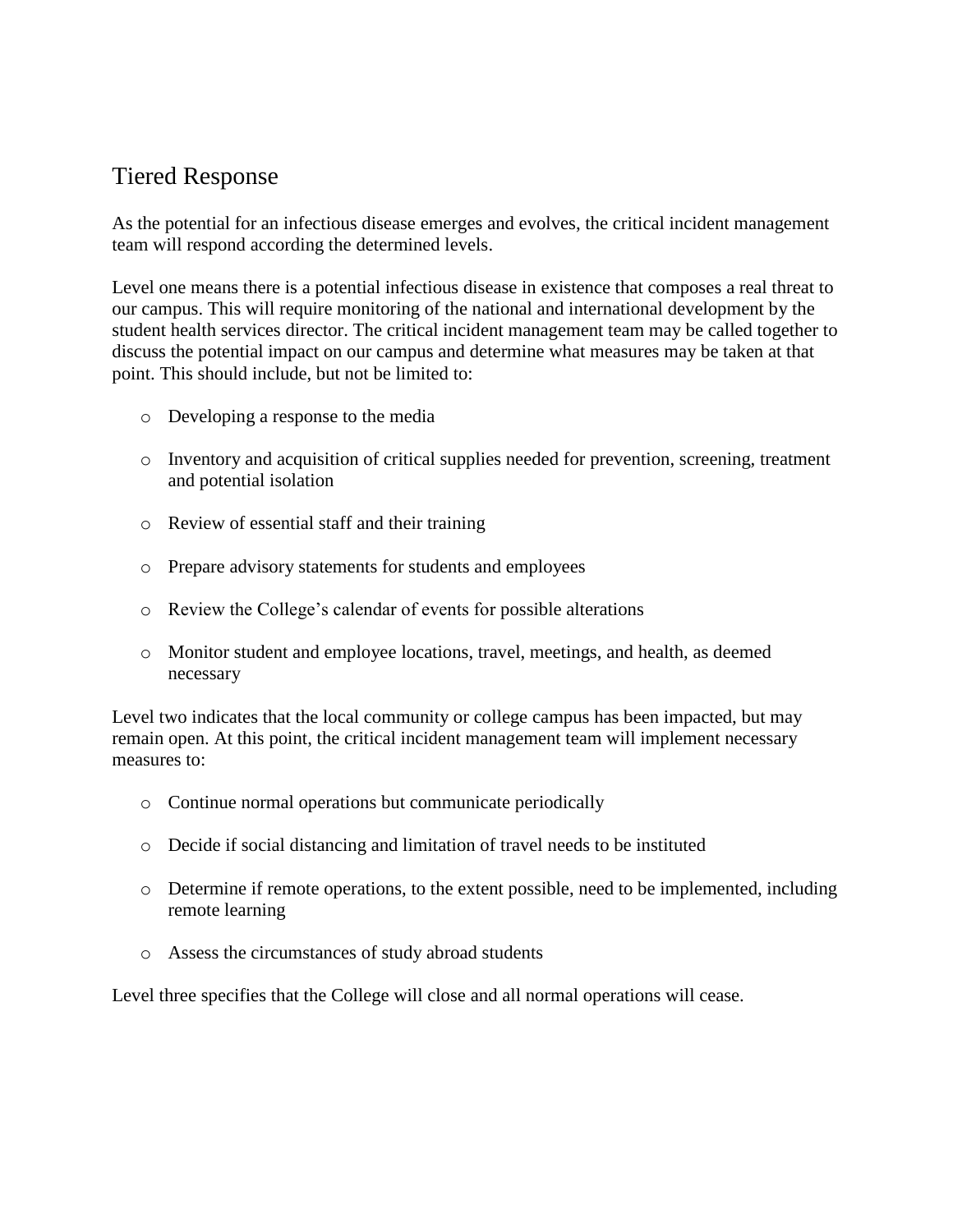### Tiered Response

As the potential for an infectious disease emerges and evolves, the critical incident management team will respond according the determined levels.

Level one means there is a potential infectious disease in existence that composes a real threat to our campus. This will require monitoring of the national and international development by the student health services director. The critical incident management team may be called together to discuss the potential impact on our campus and determine what measures may be taken at that point. This should include, but not be limited to:

- o Developing a response to the media
- o Inventory and acquisition of critical supplies needed for prevention, screening, treatment and potential isolation
- o Review of essential staff and their training
- o Prepare advisory statements for students and employees
- o Review the College's calendar of events for possible alterations
- o Monitor student and employee locations, travel, meetings, and health, as deemed necessary

Level two indicates that the local community or college campus has been impacted, but may remain open. At this point, the critical incident management team will implement necessary measures to:

- o Continue normal operations but communicate periodically
- o Decide if social distancing and limitation of travel needs to be instituted
- o Determine if remote operations, to the extent possible, need to be implemented, including remote learning
- o Assess the circumstances of study abroad students

Level three specifies that the College will close and all normal operations will cease.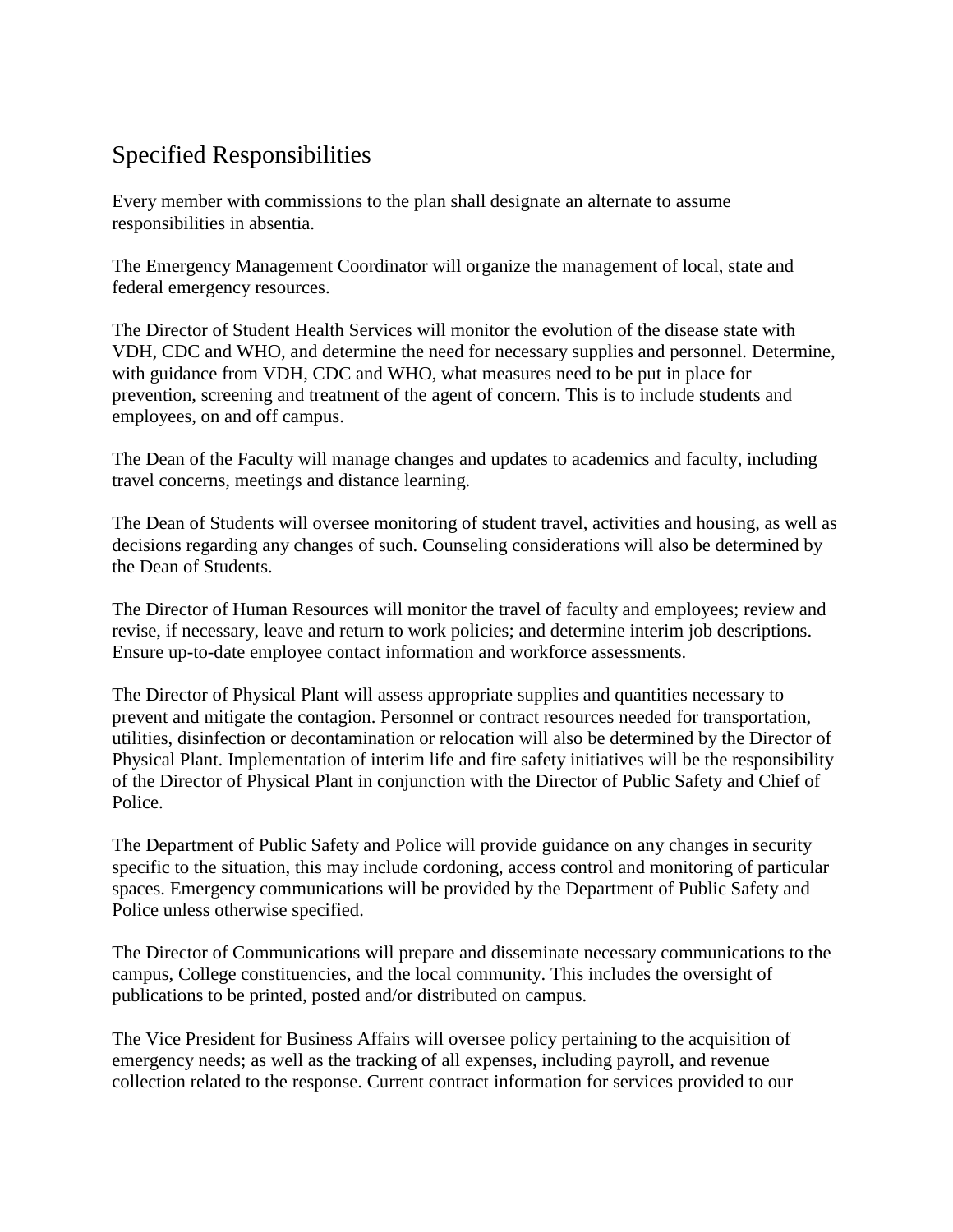# Specified Responsibilities

Every member with commissions to the plan shall designate an alternate to assume responsibilities in absentia.

The Emergency Management Coordinator will organize the management of local, state and federal emergency resources.

The Director of Student Health Services will monitor the evolution of the disease state with VDH, CDC and WHO, and determine the need for necessary supplies and personnel. Determine, with guidance from VDH, CDC and WHO, what measures need to be put in place for prevention, screening and treatment of the agent of concern. This is to include students and employees, on and off campus.

The Dean of the Faculty will manage changes and updates to academics and faculty, including travel concerns, meetings and distance learning.

The Dean of Students will oversee monitoring of student travel, activities and housing, as well as decisions regarding any changes of such. Counseling considerations will also be determined by the Dean of Students.

The Director of Human Resources will monitor the travel of faculty and employees; review and revise, if necessary, leave and return to work policies; and determine interim job descriptions. Ensure up-to-date employee contact information and workforce assessments.

The Director of Physical Plant will assess appropriate supplies and quantities necessary to prevent and mitigate the contagion. Personnel or contract resources needed for transportation, utilities, disinfection or decontamination or relocation will also be determined by the Director of Physical Plant. Implementation of interim life and fire safety initiatives will be the responsibility of the Director of Physical Plant in conjunction with the Director of Public Safety and Chief of Police.

The Department of Public Safety and Police will provide guidance on any changes in security specific to the situation, this may include cordoning, access control and monitoring of particular spaces. Emergency communications will be provided by the Department of Public Safety and Police unless otherwise specified.

The Director of Communications will prepare and disseminate necessary communications to the campus, College constituencies, and the local community. This includes the oversight of publications to be printed, posted and/or distributed on campus.

The Vice President for Business Affairs will oversee policy pertaining to the acquisition of emergency needs; as well as the tracking of all expenses, including payroll, and revenue collection related to the response. Current contract information for services provided to our